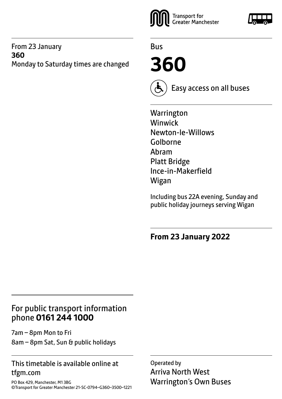#### From 23 January **360** Monday to Saturday times are changed



Bus

**360**



Easy access on all buses

**Warrington** Winwick Newton-le-Willows Golborne Abram Platt Bridge Ince-in-Makerfield Wigan

Including bus 22A evening, Sunday and public holiday journeys serving Wigan

**From 23 January 2022**

## For public transport information phone **0161 244 1000**

7am – 8pm Mon to Fri 8am – 8pm Sat, Sun & public holidays

#### This timetable is available online at tfgm.com

PO Box 429, Manchester, M1 3BG ©Transport for Greater Manchester 21-SC-0794–G360–3500–1221

Operated by Arriva North West Warrington's Own Buses

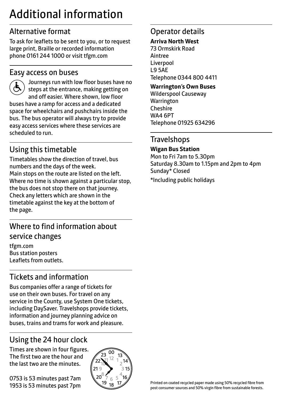# Additional information

# Alternative format

To ask for leaflets to be sent to you, or to request large print, Braille or recorded information phone 0161 244 1000 or visit tfgm.com

#### Easy access on buses



 Journeys run with low floor buses have no steps at the entrance, making getting on and off easier. Where shown, low floor buses have a ramp for access and a dedicated space for wheelchairs and pushchairs inside the bus. The bus operator will always try to provide easy access services where these services are scheduled to run.

# Using this timetable

Timetables show the direction of travel, bus numbers and the days of the week. Main stops on the route are listed on the left. Where no time is shown against a particular stop, the bus does not stop there on that journey. Check any letters which are shown in the timetable against the key at the bottom of the page.

# Where to find information about service changes

tfgm.com Bus station posters Leaflets from outlets.

# Tickets and information

Bus companies offer a range of tickets for use on their own buses. For travel on any service in the County, use System One tickets, including DaySaver. Travelshops provide tickets, information and journey planning advice on buses, trains and trams for work and pleasure.

# Using the 24 hour clock

Times are shown in four figures. The first two are the hour and the last two are the minutes.

0753 is 53 minutes past 7am 1953 is 53 minutes past 7pm



## Operator details

#### **Arriva North West**

73 Ormskirk Road Aintree Liverpool L9 5AE Telephone 0344 800 4411

#### **Warrington's Own Buses**

Wilderspool Causeway **Warrington** Cheshire WA4 6PT Telephone 01925 634296

### **Travelshops**

#### **Wigan Bus Station**

Mon to Fri 7am to 5.30pm Saturday 8.30am to 1.15pm and 2pm to 4pm Sunday\* Closed

\*Including public holidays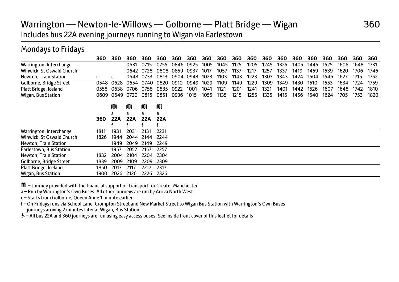# Warrington — Newton-le-Willows — Golborne — Platt Bridge — Wigan 360 Includes bus 22A evening journeys running to Wigan via Earlestown

### Mondays to Fridays

|                           | 360  | 360  | 360  | 360       | 360  | 360  | 360  | 360  | 360  | 360  | 360  | 360  | 360  | 360  | 360  | 360  | 360  | 360  | 360  |
|---------------------------|------|------|------|-----------|------|------|------|------|------|------|------|------|------|------|------|------|------|------|------|
| Warrington, Interchange   |      |      | 0631 | 0715      | 0755 | 0846 | 0925 | 1005 | 1045 | 1125 | 1205 | 1245 | 1325 | 1405 | 1445 | 1525 | 1606 | 1648 | 1731 |
| Winwick, St Oswald Church |      |      | 0642 | 0728      | 0808 | 0859 | 0937 | 1017 | 1057 | 1137 | 1217 | 1257 | 1337 | 1419 | 1459 | 1539 | 1620 | 1706 | 1746 |
| Newton, Train Station     |      |      |      | 0648 0733 | 0813 | 0904 | 0943 | 1023 | 1103 | 1143 | 1223 | 1303 | 1343 | 1424 | 1504 | 1546 | 1627 | 1715 | 1752 |
| Golborne, Bridge Street   | 0548 | 0628 | 0654 | 0740      | 0820 | 0910 | 0949 | 1029 | 1109 | 1149 | 1229 | 1309 | 1349 | 1430 | 1510 | 1553 | 1634 | 1724 | 1759 |
| Platt Bridge, Iceland     | 0558 | 0638 | 0706 | 0758      | 0835 | 0922 | 1001 | 1041 | 1121 | 1201 | 1241 | 1321 | 1401 | 1442 | 1526 | 1607 | 1648 | 1742 | 1810 |
| Wigan, Bus Station        | 0609 | 0649 | 0720 | 0815      | 0851 | 0936 | 1015 | 1055 | 1135 | 1215 | 1255 | 1335 | 1415 | 1456 | 1540 | 1624 | 1705 | 1753 | 1820 |
|                           |      | M    | M    | M         | M    |      |      |      |      |      |      |      |      |      |      |      |      |      |      |
|                           |      | a    | a    | a         | a    |      |      |      |      |      |      |      |      |      |      |      |      |      |      |
|                           | 360  | 22A  | 22A  | 22A       | 22A  |      |      |      |      |      |      |      |      |      |      |      |      |      |      |
|                           |      |      |      |           |      |      |      |      |      |      |      |      |      |      |      |      |      |      |      |
| Warrington, Interchange   | 1811 | 1931 | 2031 | 2131      | 2231 |      |      |      |      |      |      |      |      |      |      |      |      |      |      |
| Winwick, St Oswald Church | 1826 | 1944 | 2044 | 2144      | 2244 |      |      |      |      |      |      |      |      |      |      |      |      |      |      |
| Newton, Train Station     |      | 1949 | 2049 | 2149      | 2249 |      |      |      |      |      |      |      |      |      |      |      |      |      |      |
| Earlestown, Bus Station   |      | 1957 | 2057 | 2157      | 2257 |      |      |      |      |      |      |      |      |      |      |      |      |      |      |
| Newton, Train Station     | 1832 | 2004 | 2104 | 2204      | 2304 |      |      |      |      |      |      |      |      |      |      |      |      |      |      |
| Golborne, Bridge Street   | 1839 | 2009 | 2109 | 2209      | 2309 |      |      |      |      |      |      |      |      |      |      |      |      |      |      |
| Platt Bridge, Iceland     | 1850 | 2017 | 2117 | 2217      | 2317 |      |      |      |      |      |      |      |      |      |      |      |      |      |      |
| Wigan, Bus Station        | 1900 | 2026 | 2126 | 2226      | 2326 |      |      |      |      |      |      |      |      |      |      |      |      |      |      |

M – Journey provided with the financial support of Transport for Greater Manchester

a – Run by Warrington's Own Buses. All other journeys are run by Arriva North West

c – Starts from Golborne, Queen Anne 1 minute earlier

f – On Fridays runs via School Lane, Crompton Street and New Market Street to Wigan Bus Station with Warrington's Own Buses journeys arriving 2 minutes later at Wigan, Bus Station

W– All bus 22A and 360 journeys are run using easy access buses. See inside front cover of this leaflet for details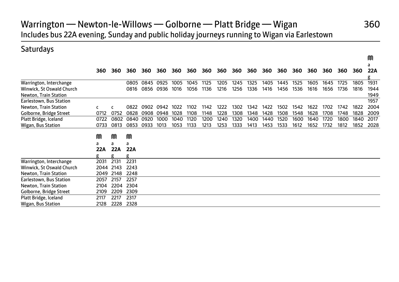# Warrington — Newton-le-Willows — Golborne — Platt Bridge — Wigan 360 Includes bus 22A evening, Sunday and public holiday journeys running to Wigan via Earlestown

### **Saturdays**

|                           |      |            |      |      |      |      |      |      |      |      |      |      |      |      |      |      |      |      | a    |
|---------------------------|------|------------|------|------|------|------|------|------|------|------|------|------|------|------|------|------|------|------|------|
|                           | 360  | 360        | 360  | 360  | 360  | 360  | 360  | 360  | 360  | 360  | 360  | 360  | 360  | 360  | 360  | 360  | 360  | 360  | 22A  |
|                           |      |            |      |      |      |      |      |      |      |      |      |      |      |      |      |      |      |      |      |
| Warrington, Interchange   |      |            | 0805 | 0845 | 0925 | 1005 | 1045 | 1125 | 1205 | 1245 | 1325 | 1405 | 1445 | 1525 | 1605 | 1645 | 1725 | 1805 | 1931 |
| Winwick, St Oswald Church |      |            | 0816 | 0856 | 0936 | 1016 | 1056 | 1136 | 1216 | 1256 | 1336 | 1416 | 1456 | 1536 | 1616 | 1656 | 1736 | 1816 | 1944 |
| Newton, Train Station     |      |            |      |      |      |      |      |      |      |      |      |      |      |      |      |      |      |      | 1949 |
| Earlestown, Bus Station   |      |            |      |      |      |      |      |      |      |      |      |      |      |      |      |      |      |      | 1957 |
| Newton, Train Station     |      |            | 0822 | 0902 | 0942 | 1022 | 1102 | 1142 | 1222 | 1302 | 1342 | 1422 | 1502 | 1542 | 1622 | 1702 | 1742 | 1822 | 2004 |
| Golborne, Bridge Street   | 0712 | 0752       | 0828 | 0908 | 0948 | 1028 | 1108 | 1148 | 1228 | 1308 | 1348 | 1428 | 1508 | 1548 | 1628 | 1708 | 1748 | 1828 | 2009 |
| Platt Bridge, Iceland     | 0722 | 0802       | 0840 | 0920 | 1000 | 1040 | 1120 | 1200 | 1240 | 1320 | 1400 | 1440 | 1520 | 1600 | 1640 | 1720 | 1800 | 1840 | 2017 |
| Wigan, Bus Station        | 0733 | 0813       | 0853 | 0933 | 1013 | 1053 | 1133 | 1213 | 1253 | 1333 | 1413 | 1453 | 1533 | 1612 | 1652 | 1732 | 1812 | 1852 | 2028 |
|                           |      |            |      |      |      |      |      |      |      |      |      |      |      |      |      |      |      |      |      |
|                           | M    | M          | M    |      |      |      |      |      |      |      |      |      |      |      |      |      |      |      |      |
|                           | a    | a          | a    |      |      |      |      |      |      |      |      |      |      |      |      |      |      |      |      |
|                           | 22A  | <b>22A</b> | 22A  |      |      |      |      |      |      |      |      |      |      |      |      |      |      |      |      |
|                           | g    |            | g    |      |      |      |      |      |      |      |      |      |      |      |      |      |      |      |      |
| Warrington, Interchange   | 2031 | 2131       | 2231 |      |      |      |      |      |      |      |      |      |      |      |      |      |      |      |      |
| Winwick, St Oswald Church |      | 2044 2143  | 2243 |      |      |      |      |      |      |      |      |      |      |      |      |      |      |      |      |
| Newton, Train Station     | 2049 | 2148       | 2248 |      |      |      |      |      |      |      |      |      |      |      |      |      |      |      |      |
| Earlestown, Bus Station   | 2057 | 2157       | 2257 |      |      |      |      |      |      |      |      |      |      |      |      |      |      |      |      |
| Newton, Train Station     | 2104 | 2204       | 2304 |      |      |      |      |      |      |      |      |      |      |      |      |      |      |      |      |
| Golborne, Bridge Street   | 2109 | 2209       | 2309 |      |      |      |      |      |      |      |      |      |      |      |      |      |      |      |      |
| Platt Bridge, Iceland     | 2117 | 2217       | 2317 |      |      |      |      |      |      |      |      |      |      |      |      |      |      |      |      |
| Wigan, Bus Station        | 2128 | 2228       | 2328 |      |      |      |      |      |      |      |      |      |      |      |      |      |      |      |      |

**Manufacturers** in the contract of the contract of the contract of the contract of the contract of the contract of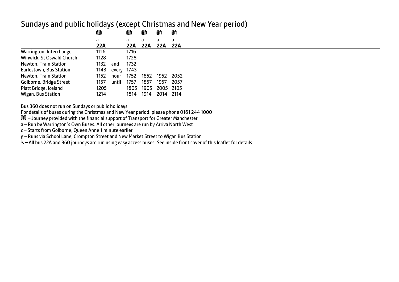#### Sundays and public holidays (except Christmas and New Year period)

|                           | M    |            | M    | M    | M         | M    |
|---------------------------|------|------------|------|------|-----------|------|
|                           | a    |            | a    | a    | a         | a    |
|                           | 22A  |            | 22A  | 22A  | 22A 22A   |      |
| Warrington, Interchange   | 1116 |            | 1716 |      |           |      |
| Winwick, St Oswald Church | 1128 |            | 1728 |      |           |      |
| Newton, Train Station     | 1132 | and        | 1732 |      |           |      |
| Earlestown, Bus Station   | 1143 | every 1743 |      |      |           |      |
| Newton, Train Station     | 1152 | hour       | 1752 | 1852 | 1952      | 2052 |
| Golborne, Bridge Street   | 1157 | until      | 1757 | 1857 | 1957      | 2057 |
| Platt Bridge, Iceland     | 1205 |            | 1805 | 1905 | 2005 2105 |      |
| Wigan, Bus Station        | 1214 |            | 1814 | 1914 | 2014 2114 |      |

Bus 360 does not run on Sundays or public holidays

For details of buses during the Christmas and New Year period, please phone 0161 244 1000

M – Journey provided with the financial support of Transport for Greater Manchester

a – Run by Warrington's Own Buses. All other journeys are run by Arriva North West

c – Starts from Golborne, Queen Anne 1 minute earlier

g – Runs via School Lane, Crompton Street and New Market Street to Wigan Bus Station

W– All bus 22A and 360 journeys are run using easy access buses. See inside front cover of this leaflet for details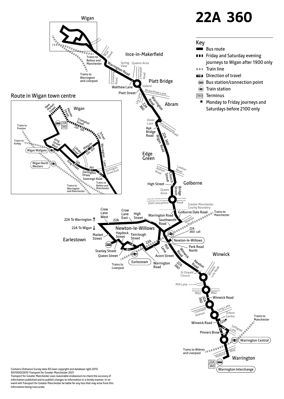

Transport for Greater Manchester uses reasonable endeavours to check the accuracy of information published and to publish changes to information in a timely manner. In no event will Transport for Greater Manchester be liable for any loss that may arise from this information being inaccurate.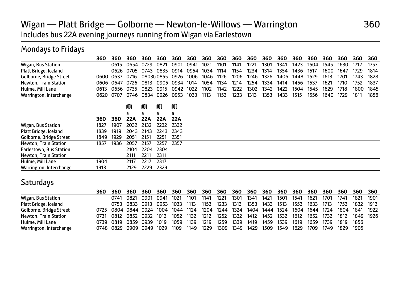# Wigan — Platt Bridge — Golborne — Newton-le-Willows — Warrington 360 Includes bus 22A evening journeys running from Wigan via Earlestown

## Mondays to Fridays

|                              | 360  | 360  | 360  | 360  | 360       | 360  | 360  | 360  | 360  | 360  | 360  | 360  | 360  | 360  | 360  | 360  | 360  | 360  | 360  |
|------------------------------|------|------|------|------|-----------|------|------|------|------|------|------|------|------|------|------|------|------|------|------|
| Wigan, Bus Station           |      | 0615 | 0654 | 0729 | 0821      | 0901 | 0941 | 1021 | 1101 | 1141 | 1221 | 1301 | 1341 | 1423 | 1504 | 1545 | 1630 | 1712 | 1757 |
| Platt Bridge, Iceland        |      | 0626 | 0705 | 0743 | 0835      | 0914 | 0954 | 1034 | 1114 | 1154 | 1234 | 1314 | 1354 | 1436 | 1517 | 1600 | 1647 | 1729 | 1814 |
| Golborne, Bridge Street      | 0600 | 0637 | 0716 |      | 0803b0855 | 0926 | 1006 | 1046 | 1126 | 1206 | 1246 | 1326 | 1406 | 1448 | 1529 | 1613 | 1701 | 1743 | 1828 |
| <b>Newton, Train Station</b> | 0606 | 0647 | 0726 | 0813 | 0905      | 0934 | 1014 | 1054 | 1134 | 1214 | 1254 | 1334 | 1414 | 1456 | 1537 | 1621 | 1710 | 1752 | 1837 |
| Hulme, Mill Lane             | 0613 | 0656 | 0735 | 0823 | 0915      | 0942 | 1022 | 1102 | 1142 | 1222 | 1302 | 1342 | 1422 | 1504 | 1545 | 1629 | 1718 | 1800 | 1845 |
| Warrington, Interchange      | 0620 | 0707 | 0746 | 0834 | 0926      | 0953 | 1033 | 1113 | 1153 | 1233 | 1313 | 1353 | 1433 | 1515 | 1556 | 1640 | 1729 | 1811 | 1856 |
|                              |      |      | M    | M    | M         | M    |      |      |      |      |      |      |      |      |      |      |      |      |      |
|                              |      |      | a    |      | a         | а    |      |      |      |      |      |      |      |      |      |      |      |      |      |
|                              | 360  | 360  | 22A  | 22A  | 22A       | 22A  |      |      |      |      |      |      |      |      |      |      |      |      |      |
| Wigan, Bus Station           | 1827 | 1907 | 2032 | 2132 | 2232      | 2332 |      |      |      |      |      |      |      |      |      |      |      |      |      |
| Platt Bridge, Iceland        | 1839 | 1919 | 2043 | 2143 | 2243      | 2343 |      |      |      |      |      |      |      |      |      |      |      |      |      |
| Golborne, Bridge Street      | 1849 | 1929 | 2051 | 2151 | 2251      | 2351 |      |      |      |      |      |      |      |      |      |      |      |      |      |
| Newton, Train Station        | 1857 | 1936 | 2057 | 2157 | 2257      | 2357 |      |      |      |      |      |      |      |      |      |      |      |      |      |
| Earlestown, Bus Station      |      |      | 2104 | 2204 | 2304      |      |      |      |      |      |      |      |      |      |      |      |      |      |      |
| <b>Newton, Train Station</b> |      |      | 2111 | 2211 | 2311      |      |      |      |      |      |      |      |      |      |      |      |      |      |      |
| Hulme, Mill Lane             | 1904 |      | 2117 | 2217 | 2317      |      |      |      |      |      |      |      |      |      |      |      |      |      |      |
| Warrington, Interchange      | 1913 |      | 2129 | 2229 | 2329      |      |      |      |      |      |      |      |      |      |      |      |      |      |      |

#### **Saturdays**

|                         | 360  | 360.                     | 360            | 360  | 360  | 360  | 360  |      |           |      | 360 360 360 360 360 360  |           |      | 360  | 360  | 360  | 360       | 360 360        |      |
|-------------------------|------|--------------------------|----------------|------|------|------|------|------|-----------|------|--------------------------|-----------|------|------|------|------|-----------|----------------|------|
| Wigan, Bus Station      |      | 0741                     | 0821           | 0901 | 0941 | 1021 | 1101 | 1141 | 1221      | 1301 | 1341                     | 1421      | 1501 | 1541 | 1621 | 1701 | 1741      | 1821           | 1901 |
| Platt Bridge, Iceland   |      |                          | 0753 0833 0913 |      | 0953 | 1033 | 1113 | 1153 | 1233      | 1313 | 1353                     | 1433      | 1513 | 1553 | 1633 | 1713 | 1753      | 1832 1913      |      |
| Golborne, Bridge Street | 0725 | 0804 0844 0924           |                |      | 1004 | 1044 | 1124 | 1204 | 1244 1324 |      | 1404                     | 1444 1524 |      | 1604 | 1644 | 1724 |           | 1804 1841 1922 |      |
| Newton, Train Station   | 0731 | 0812 0852 0932 1012      |                |      |      | 1052 | 1132 | 1212 |           |      | 1252 1332 1412 1452 1532 |           |      | 1612 | 1652 | 1732 | 1812      | 1849 1926      |      |
| Hulme, Mill Lane        | 0739 | 0819 0859 0939           |                |      | 1019 | 1059 | 1139 | 1219 | 1259      | 1339 | 1419                     | 1459      | 1539 | 1619 | 1659 | 1739 | 1819      | 1856           |      |
| Warrington, Interchange |      | 0748 0829 0909 0949 1029 |                |      |      | 1109 | 1149 | 1229 |           |      | 1309 1349 1429 1509 1549 |           |      | 1629 | 1709 | 1749 | 1829 1905 |                |      |